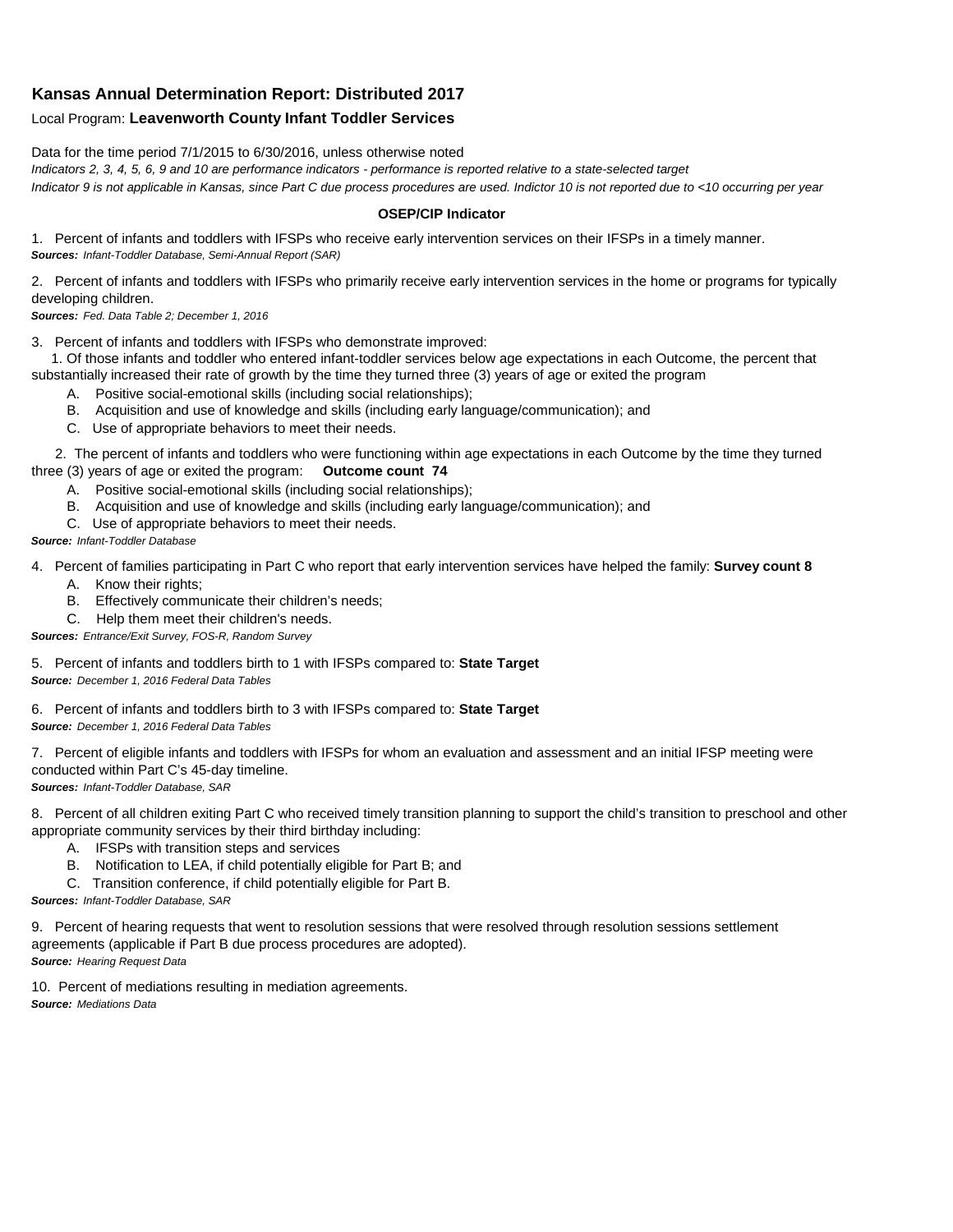## **Kansas Annual Determination Report: Distributed 2017**

## Local Program: **Leavenworth County Infant Toddler Services**

Data for the time period 7/1/2015 to 6/30/2016, unless otherwise noted

*Indicators 2, 3, 4, 5, 6, 9 and 10 are performance indicators - performance is reported relative to a state-selected target Indicator 9 is not applicable in Kansas, since Part C due process procedures are used. Indictor 10 is not reported due to <10 occurring per year*

## **OSEP/CIP Indicator**

1. Percent of infants and toddlers with IFSPs who receive early intervention services on their IFSPs in a timely manner. *Sources: Infant-Toddler Database, Semi-Annual Report (SAR)* 

2. Percent of infants and toddlers with IFSPs who primarily receive early intervention services in the home or programs for typically developing children.

*Sources: Fed. Data Table 2; December 1, 2016*

3. Percent of infants and toddlers with IFSPs who demonstrate improved:

 1. Of those infants and toddler who entered infant-toddler services below age expectations in each Outcome, the percent that substantially increased their rate of growth by the time they turned three (3) years of age or exited the program

- A. Positive social-emotional skills (including social relationships);
- B. Acquisition and use of knowledge and skills (including early language/communication); and
- C. Use of appropriate behaviors to meet their needs.

 2. The percent of infants and toddlers who were functioning within age expectations in each Outcome by the time they turned three (3) years of age or exited the program: **Outcome count 74**

- A. Positive social-emotional skills (including social relationships);
- B. Acquisition and use of knowledge and skills (including early language/communication); and
- C. Use of appropriate behaviors to meet their needs.

## *Source: Infant-Toddler Database*

4. Percent of families participating in Part C who report that early intervention services have helped the family: **Survey count 8**

- A. Know their rights;
- B. Effectively communicate their children's needs;
- C. Help them meet their children's needs.
- *Sources: Entrance/Exit Survey, FOS-R, Random Survey*

5. Percent of infants and toddlers birth to 1 with IFSPs compared to: **State Target** *Source: December 1, 2016 Federal Data Tables*

6. Percent of infants and toddlers birth to 3 with IFSPs compared to: **State Target** *Source: December 1, 2016 Federal Data Tables*

7. Percent of eligible infants and toddlers with IFSPs for whom an evaluation and assessment and an initial IFSP meeting were conducted within Part C's 45-day timeline.

*Sources: Infant-Toddler Database, SAR*

8. Percent of all children exiting Part C who received timely transition planning to support the child's transition to preschool and other appropriate community services by their third birthday including:

- A. IFSPs with transition steps and services
- B. Notification to LEA, if child potentially eligible for Part B; and
- C. Transition conference, if child potentially eligible for Part B.

*Sources: Infant-Toddler Database, SAR*

9. Percent of hearing requests that went to resolution sessions that were resolved through resolution sessions settlement agreements (applicable if Part B due process procedures are adopted). *Source: Hearing Request Data*

10. Percent of mediations resulting in mediation agreements. *Source: Mediations Data*